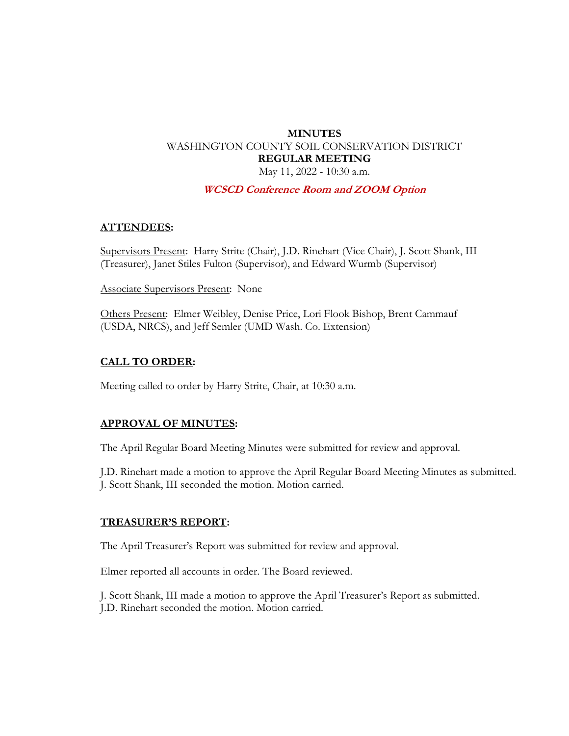# **MINUTES** WASHINGTON COUNTY SOIL CONSERVATION DISTRICT **REGULAR MEETING**  May 11, 2022 - 10:30 a.m.

#### **WCSCD Conference Room and ZOOM Option**

#### **ATTENDEES:**

Supervisors Present: Harry Strite (Chair), J.D. Rinehart (Vice Chair), J. Scott Shank, III (Treasurer), Janet Stiles Fulton (Supervisor), and Edward Wurmb (Supervisor)

Associate Supervisors Present: None

Others Present: Elmer Weibley, Denise Price, Lori Flook Bishop, Brent Cammauf (USDA, NRCS), and Jeff Semler (UMD Wash. Co. Extension)

#### **CALL TO ORDER:**

Meeting called to order by Harry Strite, Chair, at 10:30 a.m.

#### **APPROVAL OF MINUTES:**

The April Regular Board Meeting Minutes were submitted for review and approval.

J.D. Rinehart made a motion to approve the April Regular Board Meeting Minutes as submitted. J. Scott Shank, III seconded the motion. Motion carried.

#### **TREASURER'S REPORT:**

The April Treasurer's Report was submitted for review and approval.

Elmer reported all accounts in order. The Board reviewed.

J. Scott Shank, III made a motion to approve the April Treasurer's Report as submitted. J.D. Rinehart seconded the motion. Motion carried.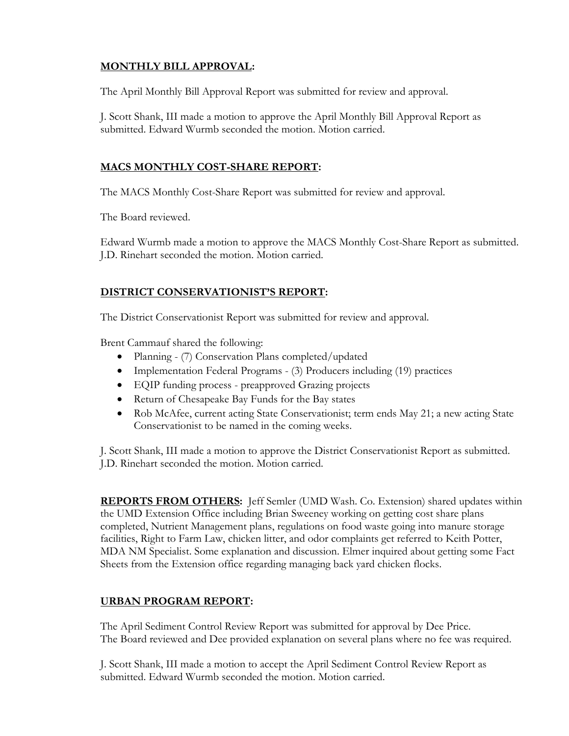## **MONTHLY BILL APPROVAL:**

The April Monthly Bill Approval Report was submitted for review and approval.

J. Scott Shank, III made a motion to approve the April Monthly Bill Approval Report as submitted. Edward Wurmb seconded the motion. Motion carried.

## **MACS MONTHLY COST-SHARE REPORT:**

The MACS Monthly Cost-Share Report was submitted for review and approval.

The Board reviewed.

Edward Wurmb made a motion to approve the MACS Monthly Cost-Share Report as submitted. J.D. Rinehart seconded the motion. Motion carried.

## **DISTRICT CONSERVATIONIST'S REPORT:**

The District Conservationist Report was submitted for review and approval.

Brent Cammauf shared the following:

- Planning (7) Conservation Plans completed/updated
- Implementation Federal Programs (3) Producers including (19) practices
- EQIP funding process preapproved Grazing projects
- Return of Chesapeake Bay Funds for the Bay states
- Rob McAfee, current acting State Conservationist; term ends May 21; a new acting State Conservationist to be named in the coming weeks.

J. Scott Shank, III made a motion to approve the District Conservationist Report as submitted. J.D. Rinehart seconded the motion. Motion carried.

**REPORTS FROM OTHERS:** Jeff Semler (UMD Wash. Co. Extension) shared updates within the UMD Extension Office including Brian Sweeney working on getting cost share plans completed, Nutrient Management plans, regulations on food waste going into manure storage facilities, Right to Farm Law, chicken litter, and odor complaints get referred to Keith Potter, MDA NM Specialist. Some explanation and discussion. Elmer inquired about getting some Fact Sheets from the Extension office regarding managing back yard chicken flocks.

### **URBAN PROGRAM REPORT:**

The April Sediment Control Review Report was submitted for approval by Dee Price. The Board reviewed and Dee provided explanation on several plans where no fee was required.

J. Scott Shank, III made a motion to accept the April Sediment Control Review Report as submitted. Edward Wurmb seconded the motion. Motion carried.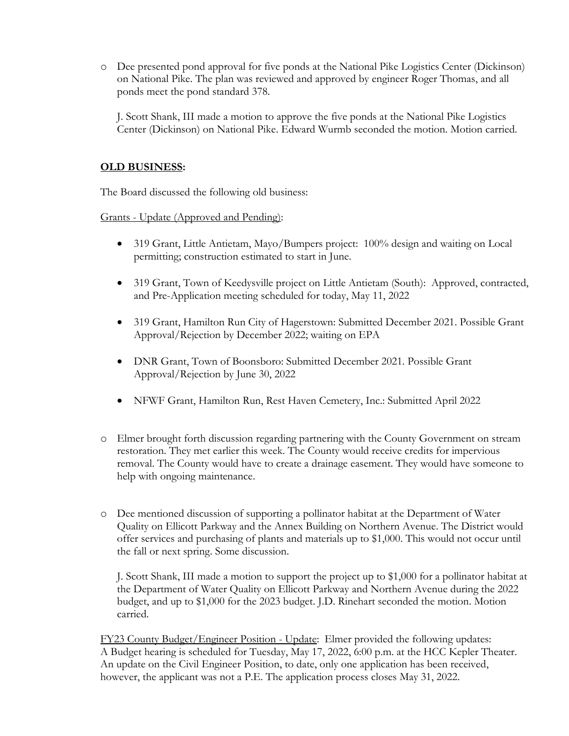o Dee presented pond approval for five ponds at the National Pike Logistics Center (Dickinson) on National Pike. The plan was reviewed and approved by engineer Roger Thomas, and all ponds meet the pond standard 378.

J. Scott Shank, III made a motion to approve the five ponds at the National Pike Logistics Center (Dickinson) on National Pike. Edward Wurmb seconded the motion. Motion carried.

## **OLD BUSINESS:**

The Board discussed the following old business:

Grants - Update (Approved and Pending):

- 319 Grant, Little Antietam, Mayo/Bumpers project: 100% design and waiting on Local permitting; construction estimated to start in June.
- 319 Grant, Town of Keedysville project on Little Antietam (South): Approved, contracted, and Pre-Application meeting scheduled for today, May 11, 2022
- 319 Grant, Hamilton Run City of Hagerstown: Submitted December 2021. Possible Grant Approval/Rejection by December 2022; waiting on EPA
- DNR Grant, Town of Boonsboro: Submitted December 2021. Possible Grant Approval/Rejection by June 30, 2022
- NFWF Grant, Hamilton Run, Rest Haven Cemetery, Inc.: Submitted April 2022
- o Elmer brought forth discussion regarding partnering with the County Government on stream restoration. They met earlier this week. The County would receive credits for impervious removal. The County would have to create a drainage easement. They would have someone to help with ongoing maintenance.
- o Dee mentioned discussion of supporting a pollinator habitat at the Department of Water Quality on Ellicott Parkway and the Annex Building on Northern Avenue. The District would offer services and purchasing of plants and materials up to \$1,000. This would not occur until the fall or next spring. Some discussion.

J. Scott Shank, III made a motion to support the project up to \$1,000 for a pollinator habitat at the Department of Water Quality on Ellicott Parkway and Northern Avenue during the 2022 budget, and up to \$1,000 for the 2023 budget. J.D. Rinehart seconded the motion. Motion carried.

FY23 County Budget/Engineer Position - Update: Elmer provided the following updates: A Budget hearing is scheduled for Tuesday, May 17, 2022, 6:00 p.m. at the HCC Kepler Theater. An update on the Civil Engineer Position, to date, only one application has been received, however, the applicant was not a P.E. The application process closes May 31, 2022.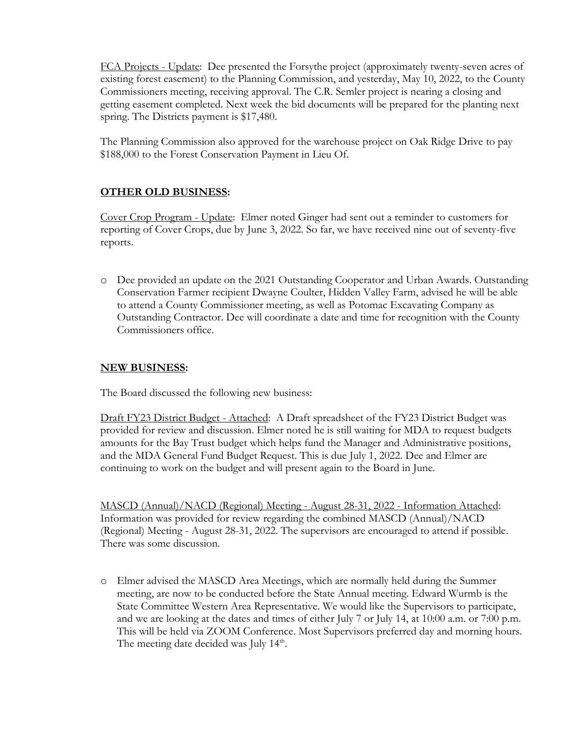FCA Projects - Update: Dee presented the Forsythe project (approximately twenty-seven acres of existing forest easement) to the Planning Commission, and yesterday, May 10, 2022, to the County Commissioners meeting, receiving approval. The C.R. Semler project is nearing a closing and getting easement completed. Next week the bid documents will be prepared for the planting next spring. The Districts payment is \$17,480.

The Planning Commission also approved for the warehouse project on Oak Ridge Drive to pay \$188,000 to the Forest Conservation Payment in Lieu Of.

## **OTHER OLD BUSINESS:**

Cover Crop Program - Update: Elmer noted Ginger had sent out a reminder to customers for reporting of Cover Crops, due by June 3, 2022. So far, we have received nine out of seventy-five reports.

o Dee provided an update on the 2021 Outstanding Cooperator and Urban Awards. Outstanding Conservation Farmer recipient Dwayne Coulter, Hidden Valley Farm, advised he will be able to attend a County Commissioner meeting, as well as Potomac Excavating Company as Outstanding Contractor. Dee will coordinate a date and time for recognition with the County Commissioners office.

### **NEW BUSINESS:**

The Board discussed the following new business:

Draft FY23 District Budget - Attached: A Draft spreadsheet of the FY23 District Budget was provided for review and discussion. Elmer noted he is still waiting for MDA to request budgets amounts for the Bay Trust budget which helps fund the Manager and Administrative positions, and the MDA General Fund Budget Request. This is due July 1, 2022. Dee and Elmer are continuing to work on the budget and will present again to the Board in June.

MASCD (Annual)/NACD (Regional) Meeting - August 28-31, 2022 - Information Attached: Information was provided for review regarding the combined MASCD (Annual)/NACD (Regional) Meeting - August 28-31, 2022. The supervisors are encouraged to attend if possible. There was some discussion.

o Elmer advised the MASCD Area Meetings, which are normally held during the Summer meeting, are now to be conducted before the State Annual meeting. Edward Wurmb is the State Committee Western Area Representative. We would like the Supervisors to participate, and we are looking at the dates and times of either July 7 or July 14, at 10:00 a.m. or 7:00 p.m. This will be held via ZOOM Conference. Most Supervisors preferred day and morning hours. The meeting date decided was July  $14<sup>th</sup>$ .